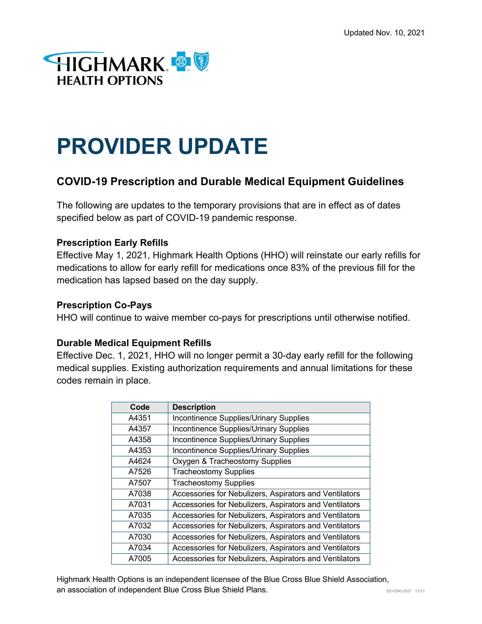

# **PROVIDER UPDATE**

# **COVID-19 Prescription and Durable Medical Equipment Guidelines**

The following are updates to the temporary provisions that are in effect as of dates specified below as part of COVID-19 pandemic response.

## **Prescription Early Refills**

Effective May 1, 2021, Highmark Health Options (HHO) will reinstate our early refills for medications to allow for early refill for medications once 83% of the previous fill for the medication has lapsed based on the day supply.

### **Prescription Co-Pays**

HHO will continue to waive member co-pays for prescriptions until otherwise notified.

### **Durable Medical Equipment Refills**

Effective Dec. 1, 2021, HHO will no longer permit a 30-day early refill for the following medical supplies. Existing authorization requirements and annual limitations for these codes remain in place.

| Code  | <b>Description</b>                                     |
|-------|--------------------------------------------------------|
| A4351 | Incontinence Supplies/Urinary Supplies                 |
| A4357 | Incontinence Supplies/Urinary Supplies                 |
| A4358 | Incontinence Supplies/Urinary Supplies                 |
| A4353 | Incontinence Supplies/Urinary Supplies                 |
| A4624 | Oxygen & Tracheostomy Supplies                         |
| A7526 | <b>Tracheostomy Supplies</b>                           |
| A7507 | <b>Tracheostomy Supplies</b>                           |
| A7038 | Accessories for Nebulizers, Aspirators and Ventilators |
| A7031 | Accessories for Nebulizers, Aspirators and Ventilators |
| A7035 | Accessories for Nebulizers, Aspirators and Ventilators |
| A7032 | Accessories for Nebulizers, Aspirators and Ventilators |
| A7030 | Accessories for Nebulizers, Aspirators and Ventilators |
| A7034 | Accessories for Nebulizers, Aspirators and Ventilators |
| A7005 | Accessories for Nebulizers, Aspirators and Ventilators |

Highmark Health Options is an independent licensee of the Blue Cross Blue Shield Association, **an association of independent Blue Cross Blue Shield Plans.** The Computer of the Computer of the Computer of the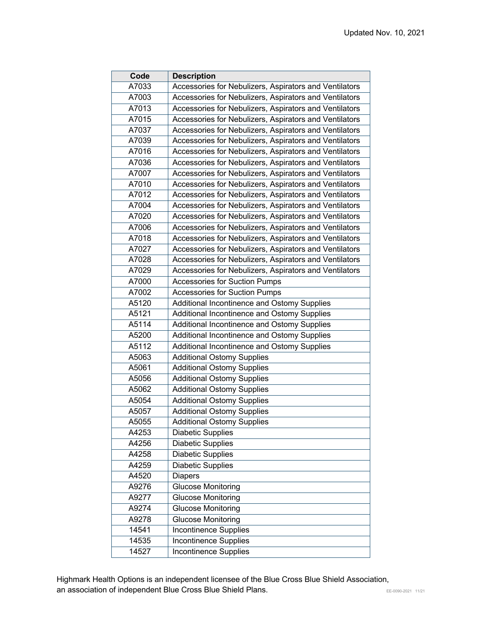| Code  | <b>Description</b>                                     |
|-------|--------------------------------------------------------|
| A7033 | Accessories for Nebulizers, Aspirators and Ventilators |
| A7003 | Accessories for Nebulizers, Aspirators and Ventilators |
| A7013 | Accessories for Nebulizers, Aspirators and Ventilators |
| A7015 | Accessories for Nebulizers, Aspirators and Ventilators |
| A7037 | Accessories for Nebulizers, Aspirators and Ventilators |
| A7039 | Accessories for Nebulizers, Aspirators and Ventilators |
| A7016 | Accessories for Nebulizers, Aspirators and Ventilators |
| A7036 | Accessories for Nebulizers, Aspirators and Ventilators |
| A7007 | Accessories for Nebulizers, Aspirators and Ventilators |
| A7010 | Accessories for Nebulizers, Aspirators and Ventilators |
| A7012 | Accessories for Nebulizers, Aspirators and Ventilators |
| A7004 | Accessories for Nebulizers, Aspirators and Ventilators |
| A7020 | Accessories for Nebulizers, Aspirators and Ventilators |
| A7006 | Accessories for Nebulizers, Aspirators and Ventilators |
| A7018 | Accessories for Nebulizers, Aspirators and Ventilators |
| A7027 | Accessories for Nebulizers, Aspirators and Ventilators |
| A7028 | Accessories for Nebulizers, Aspirators and Ventilators |
| A7029 | Accessories for Nebulizers, Aspirators and Ventilators |
| A7000 | <b>Accessories for Suction Pumps</b>                   |
| A7002 | <b>Accessories for Suction Pumps</b>                   |
| A5120 | Additional Incontinence and Ostomy Supplies            |
| A5121 | Additional Incontinence and Ostomy Supplies            |
| A5114 | Additional Incontinence and Ostomy Supplies            |
| A5200 | Additional Incontinence and Ostomy Supplies            |
| A5112 | Additional Incontinence and Ostomy Supplies            |
| A5063 | <b>Additional Ostomy Supplies</b>                      |
| A5061 | <b>Additional Ostomy Supplies</b>                      |
| A5056 | <b>Additional Ostomy Supplies</b>                      |
| A5062 | <b>Additional Ostomy Supplies</b>                      |
| A5054 | <b>Additional Ostomy Supplies</b>                      |
| A5057 | <b>Additional Ostomy Supplies</b>                      |
| A5055 | <b>Additional Ostomy Supplies</b>                      |
| A4253 | <b>Diabetic Supplies</b>                               |
| A4256 | <b>Diabetic Supplies</b>                               |
| A4258 | <b>Diabetic Supplies</b>                               |
| A4259 | <b>Diabetic Supplies</b>                               |
| A4520 | <b>Diapers</b>                                         |
| A9276 | Glucose Monitoring                                     |
| A9277 | <b>Glucose Monitoring</b>                              |
| A9274 | <b>Glucose Monitoring</b>                              |
| A9278 | <b>Glucose Monitoring</b>                              |
| 14541 | <b>Incontinence Supplies</b>                           |
| 14535 | <b>Incontinence Supplies</b>                           |
| 14527 | <b>Incontinence Supplies</b>                           |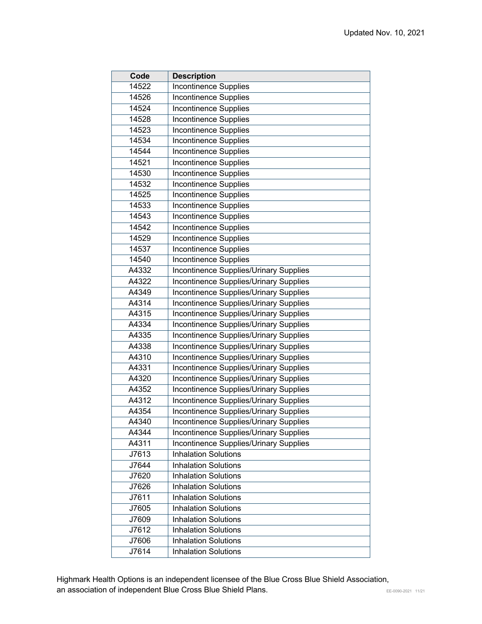| Code  | <b>Description</b>                            |
|-------|-----------------------------------------------|
| 14522 | <b>Incontinence Supplies</b>                  |
| 14526 | <b>Incontinence Supplies</b>                  |
| 14524 | <b>Incontinence Supplies</b>                  |
| 14528 | <b>Incontinence Supplies</b>                  |
| 14523 | <b>Incontinence Supplies</b>                  |
| 14534 | Incontinence Supplies                         |
| 14544 | Incontinence Supplies                         |
| 14521 | Incontinence Supplies                         |
| 14530 | Incontinence Supplies                         |
| 14532 | <b>Incontinence Supplies</b>                  |
| 14525 | Incontinence Supplies                         |
| 14533 | Incontinence Supplies                         |
| 14543 | Incontinence Supplies                         |
| 14542 | <b>Incontinence Supplies</b>                  |
| 14529 | <b>Incontinence Supplies</b>                  |
| 14537 | <b>Incontinence Supplies</b>                  |
| 14540 | <b>Incontinence Supplies</b>                  |
| A4332 | Incontinence Supplies/Urinary Supplies        |
| A4322 | Incontinence Supplies/Urinary Supplies        |
| A4349 | Incontinence Supplies/Urinary Supplies        |
| A4314 | Incontinence Supplies/Urinary Supplies        |
| A4315 | Incontinence Supplies/Urinary Supplies        |
| A4334 | Incontinence Supplies/Urinary Supplies        |
| A4335 | Incontinence Supplies/Urinary Supplies        |
| A4338 | Incontinence Supplies/Urinary Supplies        |
| A4310 | Incontinence Supplies/Urinary Supplies        |
| A4331 | Incontinence Supplies/Urinary Supplies        |
| A4320 | <b>Incontinence Supplies/Urinary Supplies</b> |
| A4352 | Incontinence Supplies/Urinary Supplies        |
| A4312 | Incontinence Supplies/Urinary Supplies        |
| A4354 | Incontinence Supplies/Urinary Supplies        |
| A4340 | Incontinence Supplies/Urinary Supplies        |
| A4344 | Incontinence Supplies/Urinary Supplies        |
| A4311 | <b>Incontinence Supplies/Urinary Supplies</b> |
| J7613 | <b>Inhalation Solutions</b>                   |
| J7644 | <b>Inhalation Solutions</b>                   |
| J7620 | <b>Inhalation Solutions</b>                   |
| J7626 | <b>Inhalation Solutions</b>                   |
| J7611 | <b>Inhalation Solutions</b>                   |
| J7605 | <b>Inhalation Solutions</b>                   |
| J7609 | <b>Inhalation Solutions</b>                   |
| J7612 | <b>Inhalation Solutions</b>                   |
| J7606 | <b>Inhalation Solutions</b>                   |
| J7614 | <b>Inhalation Solutions</b>                   |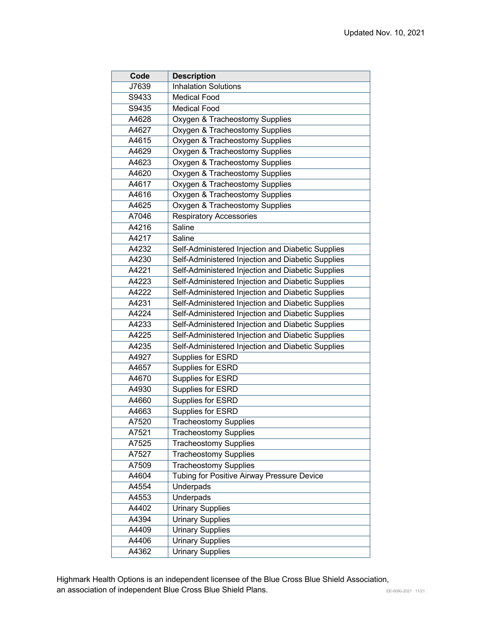| Code  | <b>Description</b>                                |
|-------|---------------------------------------------------|
| J7639 | <b>Inhalation Solutions</b>                       |
| S9433 | <b>Medical Food</b>                               |
| S9435 | Medical Food                                      |
| A4628 | Oxygen & Tracheostomy Supplies                    |
| A4627 | Oxygen & Tracheostomy Supplies                    |
| A4615 | Oxygen & Tracheostomy Supplies                    |
| A4629 | Oxygen & Tracheostomy Supplies                    |
| A4623 | Oxygen & Tracheostomy Supplies                    |
| A4620 | Oxygen & Tracheostomy Supplies                    |
| A4617 | Oxygen & Tracheostomy Supplies                    |
| A4616 | Oxygen & Tracheostomy Supplies                    |
| A4625 | Oxygen & Tracheostomy Supplies                    |
| A7046 | <b>Respiratory Accessories</b>                    |
| A4216 | Saline                                            |
| A4217 | Saline                                            |
| A4232 | Self-Administered Injection and Diabetic Supplies |
| A4230 | Self-Administered Injection and Diabetic Supplies |
| A4221 | Self-Administered Injection and Diabetic Supplies |
| A4223 | Self-Administered Injection and Diabetic Supplies |
| A4222 | Self-Administered Injection and Diabetic Supplies |
| A4231 | Self-Administered Injection and Diabetic Supplies |
| A4224 | Self-Administered Injection and Diabetic Supplies |
| A4233 | Self-Administered Injection and Diabetic Supplies |
| A4225 | Self-Administered Injection and Diabetic Supplies |
| A4235 | Self-Administered Injection and Diabetic Supplies |
| A4927 | Supplies for ESRD                                 |
| A4657 | Supplies for ESRD                                 |
| A4670 | Supplies for ESRD                                 |
| A4930 | <b>Supplies for ESRD</b>                          |
| A4660 | Supplies for ESRD                                 |
| A4663 | Supplies for ESRD                                 |
| A7520 | <b>Tracheostomy Supplies</b>                      |
| A7521 | <b>Tracheostomy Supplies</b>                      |
| A7525 | <b>Tracheostomy Supplies</b>                      |
| A7527 | <b>Tracheostomy Supplies</b>                      |
| A7509 | <b>Tracheostomy Supplies</b>                      |
| A4604 | Tubing for Positive Airway Pressure Device        |
| A4554 | Underpads                                         |
| A4553 | <b>Underpads</b>                                  |
| A4402 | <b>Urinary Supplies</b>                           |
| A4394 | <b>Urinary Supplies</b>                           |
| A4409 | <b>Urinary Supplies</b>                           |
| A4406 | <b>Urinary Supplies</b>                           |
| A4362 | <b>Urinary Supplies</b>                           |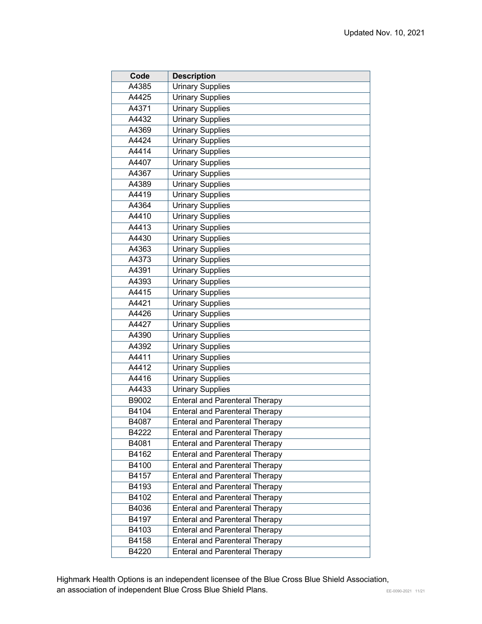| Code  | <b>Description</b>                    |
|-------|---------------------------------------|
| A4385 | <b>Urinary Supplies</b>               |
| A4425 | <b>Urinary Supplies</b>               |
| A4371 | <b>Urinary Supplies</b>               |
| A4432 | <b>Urinary Supplies</b>               |
| A4369 | <b>Urinary Supplies</b>               |
| A4424 | <b>Urinary Supplies</b>               |
| A4414 | <b>Urinary Supplies</b>               |
| A4407 | <b>Urinary Supplies</b>               |
| A4367 | <b>Urinary Supplies</b>               |
| A4389 | <b>Urinary Supplies</b>               |
| A4419 | <b>Urinary Supplies</b>               |
| A4364 | <b>Urinary Supplies</b>               |
| A4410 | <b>Urinary Supplies</b>               |
| A4413 | <b>Urinary Supplies</b>               |
| A4430 | <b>Urinary Supplies</b>               |
| A4363 | <b>Urinary Supplies</b>               |
| A4373 | <b>Urinary Supplies</b>               |
| A4391 | <b>Urinary Supplies</b>               |
| A4393 | <b>Urinary Supplies</b>               |
| A4415 | <b>Urinary Supplies</b>               |
| A4421 | <b>Urinary Supplies</b>               |
| A4426 | <b>Urinary Supplies</b>               |
| A4427 | <b>Urinary Supplies</b>               |
| A4390 | <b>Urinary Supplies</b>               |
| A4392 | <b>Urinary Supplies</b>               |
| A4411 | <b>Urinary Supplies</b>               |
| A4412 | <b>Urinary Supplies</b>               |
| A4416 | <b>Urinary Supplies</b>               |
| A4433 | <b>Urinary Supplies</b>               |
| B9002 | <b>Enteral and Parenteral Therapy</b> |
| B4104 | <b>Enteral and Parenteral Therapy</b> |
| B4087 | <b>Enteral and Parenteral Therapy</b> |
| B4222 | <b>Enteral and Parenteral Therapy</b> |
| B4081 | <b>Enteral and Parenteral Therapy</b> |
| B4162 | <b>Enteral and Parenteral Therapy</b> |
| B4100 | <b>Enteral and Parenteral Therapy</b> |
| B4157 | <b>Enteral and Parenteral Therapy</b> |
| B4193 | <b>Enteral and Parenteral Therapy</b> |
| B4102 | <b>Enteral and Parenteral Therapy</b> |
| B4036 | <b>Enteral and Parenteral Therapy</b> |
| B4197 | <b>Enteral and Parenteral Therapy</b> |
| B4103 | <b>Enteral and Parenteral Therapy</b> |
| B4158 | <b>Enteral and Parenteral Therapy</b> |
| B4220 | <b>Enteral and Parenteral Therapy</b> |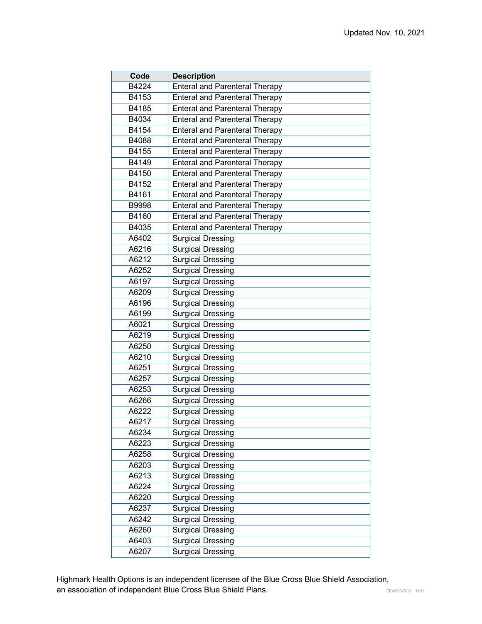| Code  | <b>Description</b>                    |
|-------|---------------------------------------|
| B4224 | <b>Enteral and Parenteral Therapy</b> |
| B4153 | <b>Enteral and Parenteral Therapy</b> |
| B4185 | <b>Enteral and Parenteral Therapy</b> |
| B4034 | <b>Enteral and Parenteral Therapy</b> |
| B4154 | <b>Enteral and Parenteral Therapy</b> |
| B4088 | <b>Enteral and Parenteral Therapy</b> |
| B4155 | <b>Enteral and Parenteral Therapy</b> |
| B4149 | <b>Enteral and Parenteral Therapy</b> |
| B4150 | <b>Enteral and Parenteral Therapy</b> |
| B4152 | <b>Enteral and Parenteral Therapy</b> |
| B4161 | <b>Enteral and Parenteral Therapy</b> |
| B9998 | <b>Enteral and Parenteral Therapy</b> |
| B4160 | <b>Enteral and Parenteral Therapy</b> |
| B4035 | <b>Enteral and Parenteral Therapy</b> |
| A6402 | <b>Surgical Dressing</b>              |
| A6216 | <b>Surgical Dressing</b>              |
| A6212 | <b>Surgical Dressing</b>              |
| A6252 | Surgical Dressing                     |
| A6197 | <b>Surgical Dressing</b>              |
| A6209 | <b>Surgical Dressing</b>              |
| A6196 | <b>Surgical Dressing</b>              |
| A6199 | <b>Surgical Dressing</b>              |
| A6021 | <b>Surgical Dressing</b>              |
| A6219 | <b>Surgical Dressing</b>              |
| A6250 | <b>Surgical Dressing</b>              |
| A6210 | <b>Surgical Dressing</b>              |
| A6251 | <b>Surgical Dressing</b>              |
| A6257 | <b>Surgical Dressing</b>              |
| A6253 | <b>Surgical Dressing</b>              |
| A6266 | <b>Surgical Dressing</b>              |
| A6222 | <b>Surgical Dressing</b>              |
| A6217 | <b>Surgical Dressing</b>              |
| A6234 | <b>Surgical Dressing</b>              |
| A6223 | Surgical Dressing                     |
| A6258 | Surgical Dressing                     |
| A6203 | <b>Surgical Dressing</b>              |
| A6213 | Surgical Dressing                     |
| A6224 | <b>Surgical Dressing</b>              |
| A6220 | <b>Surgical Dressing</b>              |
| A6237 | <b>Surgical Dressing</b>              |
| A6242 | <b>Surgical Dressing</b>              |
| A6260 | <b>Surgical Dressing</b>              |
| A6403 | <b>Surgical Dressing</b>              |
| A6207 | <b>Surgical Dressing</b>              |